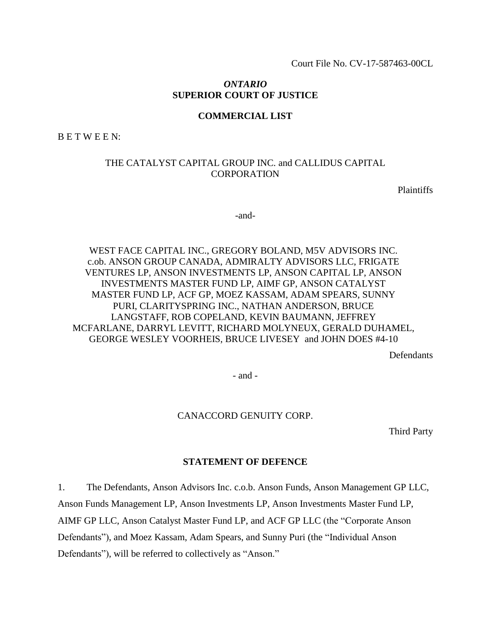Court File No. CV-17-587463-00CL

# *ONTARIO* **SUPERIOR COURT OF JUSTICE**

### **COMMERCIAL LIST**

B E T W E E N:

# THE CATALYST CAPITAL GROUP INC. and CALLIDUS CAPITAL **CORPORATION**

Plaintiffs

-and-

# WEST FACE CAPITAL INC., GREGORY BOLAND, M5V ADVISORS INC. c.ob. ANSON GROUP CANADA, ADMIRALTY ADVISORS LLC, FRIGATE VENTURES LP, ANSON INVESTMENTS LP, ANSON CAPITAL LP, ANSON INVESTMENTS MASTER FUND LP, AIMF GP, ANSON CATALYST MASTER FUND LP, ACF GP, MOEZ KASSAM, ADAM SPEARS, SUNNY PURI, CLARITYSPRING INC., NATHAN ANDERSON, BRUCE LANGSTAFF, ROB COPELAND, KEVIN BAUMANN, JEFFREY MCFARLANE, DARRYL LEVITT, RICHARD MOLYNEUX, GERALD DUHAMEL, GEORGE WESLEY VOORHEIS, BRUCE LIVESEY and JOHN DOES #4-10

**Defendants** 

- and -

#### CANACCORD GENUITY CORP.

Third Party

#### **STATEMENT OF DEFENCE**

1. The Defendants, Anson Advisors Inc. c.o.b. Anson Funds, Anson Management GP LLC,

Anson Funds Management LP, Anson Investments LP, Anson Investments Master Fund LP,

AIMF GP LLC, Anson Catalyst Master Fund LP, and ACF GP LLC (the "Corporate Anson

Defendants"), and Moez Kassam, Adam Spears, and Sunny Puri (the "Individual Anson

Defendants"), will be referred to collectively as "Anson."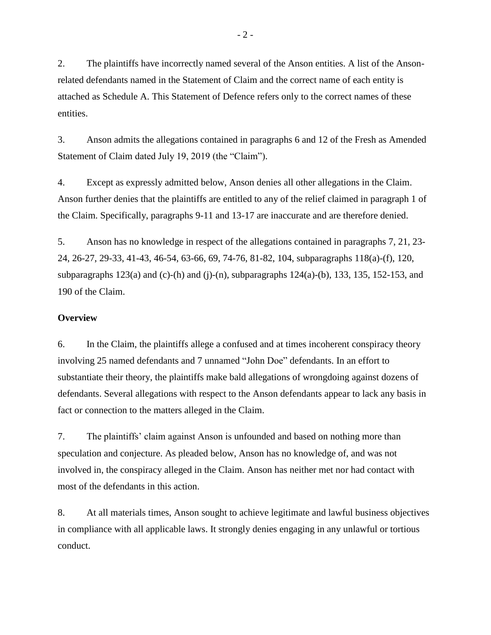2. The plaintiffs have incorrectly named several of the Anson entities. A list of the Ansonrelated defendants named in the Statement of Claim and the correct name of each entity is attached as Schedule A. This Statement of Defence refers only to the correct names of these entities.

3. Anson admits the allegations contained in paragraphs 6 and 12 of the Fresh as Amended Statement of Claim dated July 19, 2019 (the "Claim").

4. Except as expressly admitted below, Anson denies all other allegations in the Claim. Anson further denies that the plaintiffs are entitled to any of the relief claimed in paragraph 1 of the Claim. Specifically, paragraphs 9-11 and 13-17 are inaccurate and are therefore denied.

5. Anson has no knowledge in respect of the allegations contained in paragraphs 7, 21, 23- 24, 26-27, 29-33, 41-43, 46-54, 63-66, 69, 74-76, 81-82, 104, subparagraphs 118(a)-(f), 120, subparagraphs  $123(a)$  and (c)-(h) and (j)-(n), subparagraphs  $124(a)$ -(b), 133, 135, 152-153, and 190 of the Claim.

# **Overview**

6. In the Claim, the plaintiffs allege a confused and at times incoherent conspiracy theory involving 25 named defendants and 7 unnamed "John Doe" defendants. In an effort to substantiate their theory, the plaintiffs make bald allegations of wrongdoing against dozens of defendants. Several allegations with respect to the Anson defendants appear to lack any basis in fact or connection to the matters alleged in the Claim.

7. The plaintiffs' claim against Anson is unfounded and based on nothing more than speculation and conjecture. As pleaded below, Anson has no knowledge of, and was not involved in, the conspiracy alleged in the Claim. Anson has neither met nor had contact with most of the defendants in this action.

8. At all materials times, Anson sought to achieve legitimate and lawful business objectives in compliance with all applicable laws. It strongly denies engaging in any unlawful or tortious conduct.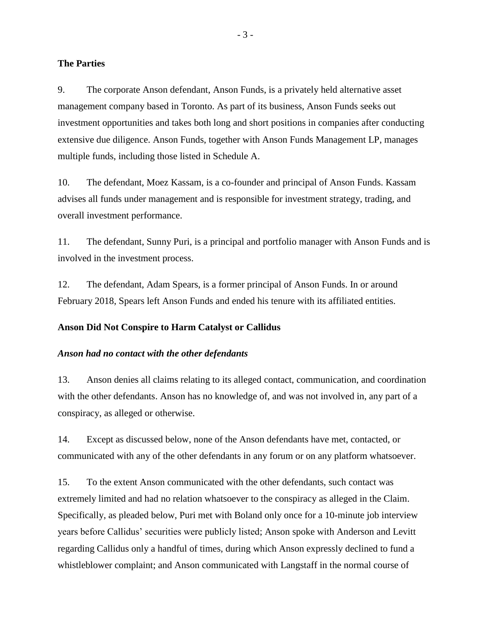#### **The Parties**

9. The corporate Anson defendant, Anson Funds, is a privately held alternative asset management company based in Toronto. As part of its business, Anson Funds seeks out investment opportunities and takes both long and short positions in companies after conducting extensive due diligence. Anson Funds, together with Anson Funds Management LP, manages multiple funds, including those listed in Schedule A.

10. The defendant, Moez Kassam, is a co-founder and principal of Anson Funds. Kassam advises all funds under management and is responsible for investment strategy, trading, and overall investment performance.

11. The defendant, Sunny Puri, is a principal and portfolio manager with Anson Funds and is involved in the investment process.

12. The defendant, Adam Spears, is a former principal of Anson Funds. In or around February 2018, Spears left Anson Funds and ended his tenure with its affiliated entities.

### **Anson Did Not Conspire to Harm Catalyst or Callidus**

#### *Anson had no contact with the other defendants*

13. Anson denies all claims relating to its alleged contact, communication, and coordination with the other defendants. Anson has no knowledge of, and was not involved in, any part of a conspiracy, as alleged or otherwise.

14. Except as discussed below, none of the Anson defendants have met, contacted, or communicated with any of the other defendants in any forum or on any platform whatsoever.

15. To the extent Anson communicated with the other defendants, such contact was extremely limited and had no relation whatsoever to the conspiracy as alleged in the Claim. Specifically, as pleaded below, Puri met with Boland only once for a 10-minute job interview years before Callidus' securities were publicly listed; Anson spoke with Anderson and Levitt regarding Callidus only a handful of times, during which Anson expressly declined to fund a whistleblower complaint; and Anson communicated with Langstaff in the normal course of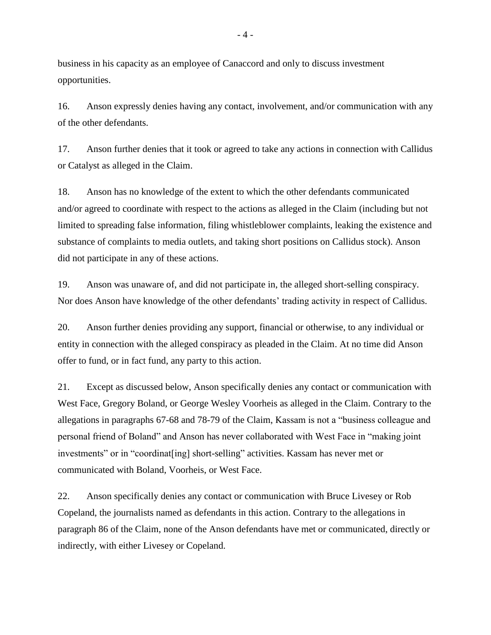business in his capacity as an employee of Canaccord and only to discuss investment opportunities.

16. Anson expressly denies having any contact, involvement, and/or communication with any of the other defendants.

17. Anson further denies that it took or agreed to take any actions in connection with Callidus or Catalyst as alleged in the Claim.

18. Anson has no knowledge of the extent to which the other defendants communicated and/or agreed to coordinate with respect to the actions as alleged in the Claim (including but not limited to spreading false information, filing whistleblower complaints, leaking the existence and substance of complaints to media outlets, and taking short positions on Callidus stock). Anson did not participate in any of these actions.

19. Anson was unaware of, and did not participate in, the alleged short-selling conspiracy. Nor does Anson have knowledge of the other defendants' trading activity in respect of Callidus.

20. Anson further denies providing any support, financial or otherwise, to any individual or entity in connection with the alleged conspiracy as pleaded in the Claim. At no time did Anson offer to fund, or in fact fund, any party to this action.

21. Except as discussed below, Anson specifically denies any contact or communication with West Face, Gregory Boland, or George Wesley Voorheis as alleged in the Claim. Contrary to the allegations in paragraphs 67-68 and 78-79 of the Claim, Kassam is not a "business colleague and personal friend of Boland" and Anson has never collaborated with West Face in "making joint investments" or in "coordinat[ing] short-selling" activities. Kassam has never met or communicated with Boland, Voorheis, or West Face.

22. Anson specifically denies any contact or communication with Bruce Livesey or Rob Copeland, the journalists named as defendants in this action. Contrary to the allegations in paragraph 86 of the Claim, none of the Anson defendants have met or communicated, directly or indirectly, with either Livesey or Copeland.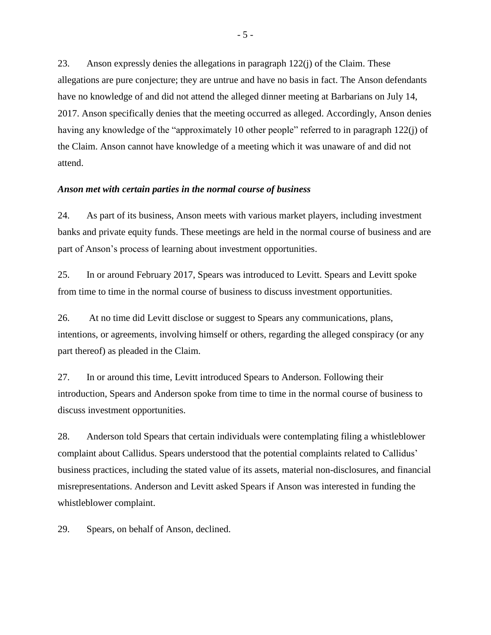23. Anson expressly denies the allegations in paragraph 122(j) of the Claim. These allegations are pure conjecture; they are untrue and have no basis in fact. The Anson defendants have no knowledge of and did not attend the alleged dinner meeting at Barbarians on July 14, 2017. Anson specifically denies that the meeting occurred as alleged. Accordingly, Anson denies having any knowledge of the "approximately 10 other people" referred to in paragraph 122(j) of the Claim. Anson cannot have knowledge of a meeting which it was unaware of and did not attend.

#### *Anson met with certain parties in the normal course of business*

24. As part of its business, Anson meets with various market players, including investment banks and private equity funds. These meetings are held in the normal course of business and are part of Anson's process of learning about investment opportunities.

25. In or around February 2017, Spears was introduced to Levitt. Spears and Levitt spoke from time to time in the normal course of business to discuss investment opportunities.

26. At no time did Levitt disclose or suggest to Spears any communications, plans, intentions, or agreements, involving himself or others, regarding the alleged conspiracy (or any part thereof) as pleaded in the Claim.

27. In or around this time, Levitt introduced Spears to Anderson. Following their introduction, Spears and Anderson spoke from time to time in the normal course of business to discuss investment opportunities.

28. Anderson told Spears that certain individuals were contemplating filing a whistleblower complaint about Callidus. Spears understood that the potential complaints related to Callidus' business practices, including the stated value of its assets, material non-disclosures, and financial misrepresentations. Anderson and Levitt asked Spears if Anson was interested in funding the whistleblower complaint.

29. Spears, on behalf of Anson, declined.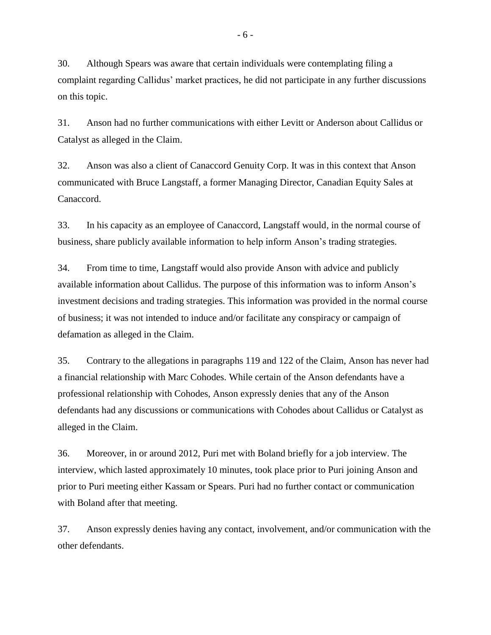30. Although Spears was aware that certain individuals were contemplating filing a complaint regarding Callidus' market practices, he did not participate in any further discussions on this topic.

31. Anson had no further communications with either Levitt or Anderson about Callidus or Catalyst as alleged in the Claim.

32. Anson was also a client of Canaccord Genuity Corp. It was in this context that Anson communicated with Bruce Langstaff, a former Managing Director, Canadian Equity Sales at Canaccord.

33. In his capacity as an employee of Canaccord, Langstaff would, in the normal course of business, share publicly available information to help inform Anson's trading strategies.

34. From time to time, Langstaff would also provide Anson with advice and publicly available information about Callidus. The purpose of this information was to inform Anson's investment decisions and trading strategies. This information was provided in the normal course of business; it was not intended to induce and/or facilitate any conspiracy or campaign of defamation as alleged in the Claim.

35. Contrary to the allegations in paragraphs 119 and 122 of the Claim, Anson has never had a financial relationship with Marc Cohodes. While certain of the Anson defendants have a professional relationship with Cohodes, Anson expressly denies that any of the Anson defendants had any discussions or communications with Cohodes about Callidus or Catalyst as alleged in the Claim.

36. Moreover, in or around 2012, Puri met with Boland briefly for a job interview. The interview, which lasted approximately 10 minutes, took place prior to Puri joining Anson and prior to Puri meeting either Kassam or Spears. Puri had no further contact or communication with Boland after that meeting.

37. Anson expressly denies having any contact, involvement, and/or communication with the other defendants.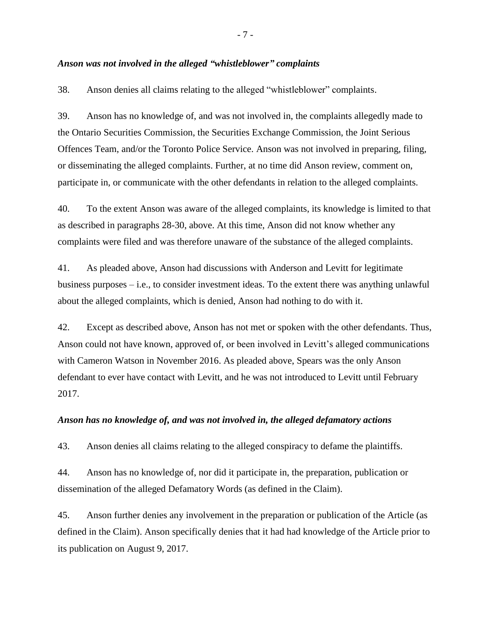# *Anson was not involved in the alleged "whistleblower" complaints*

38. Anson denies all claims relating to the alleged "whistleblower" complaints.

39. Anson has no knowledge of, and was not involved in, the complaints allegedly made to the Ontario Securities Commission, the Securities Exchange Commission, the Joint Serious Offences Team, and/or the Toronto Police Service. Anson was not involved in preparing, filing, or disseminating the alleged complaints. Further, at no time did Anson review, comment on, participate in, or communicate with the other defendants in relation to the alleged complaints.

40. To the extent Anson was aware of the alleged complaints, its knowledge is limited to that as described in paragraphs 28-30, above. At this time, Anson did not know whether any complaints were filed and was therefore unaware of the substance of the alleged complaints.

41. As pleaded above, Anson had discussions with Anderson and Levitt for legitimate business purposes – i.e., to consider investment ideas. To the extent there was anything unlawful about the alleged complaints, which is denied, Anson had nothing to do with it.

42. Except as described above, Anson has not met or spoken with the other defendants. Thus, Anson could not have known, approved of, or been involved in Levitt's alleged communications with Cameron Watson in November 2016. As pleaded above, Spears was the only Anson defendant to ever have contact with Levitt, and he was not introduced to Levitt until February 2017.

### *Anson has no knowledge of, and was not involved in, the alleged defamatory actions*

43. Anson denies all claims relating to the alleged conspiracy to defame the plaintiffs.

44. Anson has no knowledge of, nor did it participate in, the preparation, publication or dissemination of the alleged Defamatory Words (as defined in the Claim).

45. Anson further denies any involvement in the preparation or publication of the Article (as defined in the Claim). Anson specifically denies that it had had knowledge of the Article prior to its publication on August 9, 2017.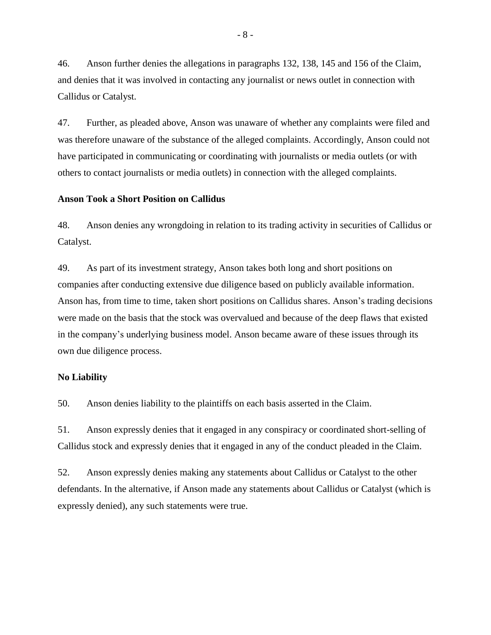46. Anson further denies the allegations in paragraphs 132, 138, 145 and 156 of the Claim, and denies that it was involved in contacting any journalist or news outlet in connection with Callidus or Catalyst.

47. Further, as pleaded above, Anson was unaware of whether any complaints were filed and was therefore unaware of the substance of the alleged complaints. Accordingly, Anson could not have participated in communicating or coordinating with journalists or media outlets (or with others to contact journalists or media outlets) in connection with the alleged complaints.

#### **Anson Took a Short Position on Callidus**

48. Anson denies any wrongdoing in relation to its trading activity in securities of Callidus or Catalyst.

49. As part of its investment strategy, Anson takes both long and short positions on companies after conducting extensive due diligence based on publicly available information. Anson has, from time to time, taken short positions on Callidus shares. Anson's trading decisions were made on the basis that the stock was overvalued and because of the deep flaws that existed in the company's underlying business model. Anson became aware of these issues through its own due diligence process.

#### **No Liability**

50. Anson denies liability to the plaintiffs on each basis asserted in the Claim.

51. Anson expressly denies that it engaged in any conspiracy or coordinated short-selling of Callidus stock and expressly denies that it engaged in any of the conduct pleaded in the Claim.

52. Anson expressly denies making any statements about Callidus or Catalyst to the other defendants. In the alternative, if Anson made any statements about Callidus or Catalyst (which is expressly denied), any such statements were true.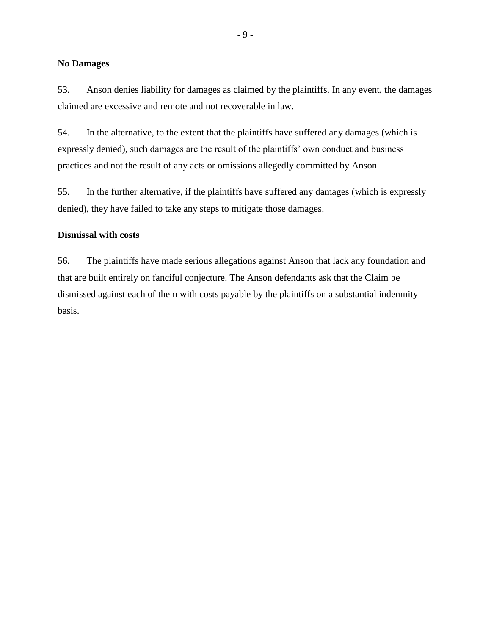# **No Damages**

53. Anson denies liability for damages as claimed by the plaintiffs. In any event, the damages claimed are excessive and remote and not recoverable in law.

54. In the alternative, to the extent that the plaintiffs have suffered any damages (which is expressly denied), such damages are the result of the plaintiffs' own conduct and business practices and not the result of any acts or omissions allegedly committed by Anson.

55. In the further alternative, if the plaintiffs have suffered any damages (which is expressly denied), they have failed to take any steps to mitigate those damages.

#### **Dismissal with costs**

56. The plaintiffs have made serious allegations against Anson that lack any foundation and that are built entirely on fanciful conjecture. The Anson defendants ask that the Claim be dismissed against each of them with costs payable by the plaintiffs on a substantial indemnity basis.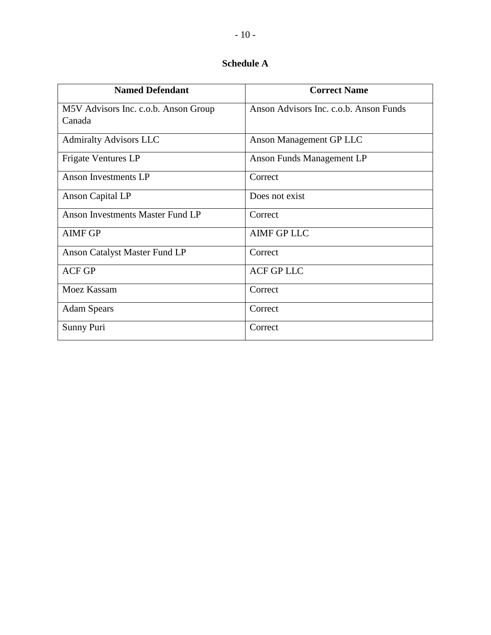# **Schedule A**

| <b>Named Defendant</b>                  | <b>Correct Name</b>                    |
|-----------------------------------------|----------------------------------------|
| M5V Advisors Inc. c.o.b. Anson Group    | Anson Advisors Inc. c.o.b. Anson Funds |
| Canada                                  |                                        |
| <b>Admiralty Advisors LLC</b>           | Anson Management GP LLC                |
| Frigate Ventures LP                     | Anson Funds Management LP              |
| Anson Investments LP                    | Correct                                |
| Anson Capital LP                        | Does not exist                         |
| <b>Anson Investments Master Fund LP</b> | Correct                                |
| <b>AIMF GP</b>                          | <b>AIMF GP LLC</b>                     |
| <b>Anson Catalyst Master Fund LP</b>    | Correct                                |
| <b>ACF GP</b>                           | <b>ACF GP LLC</b>                      |
| Moez Kassam                             | Correct                                |
| <b>Adam Spears</b>                      | Correct                                |
| Sunny Puri                              | Correct                                |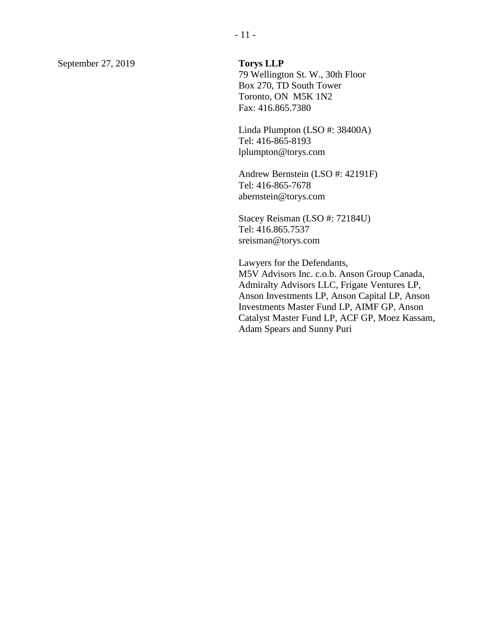September 27, 2019 **Torys LLP** 

79 Wellington St. W., 30th Floor Box 270, TD South Tower Toronto, ON M5K 1N2 Fax: 416.865.7380

Linda Plumpton (LSO #: 38400A) Tel: 416-865-8193 lplumpton@torys.com

Andrew Bernstein (LSO #: 42191F) Tel: 416-865-7678 abernstein@torys.com

Stacey Reisman (LSO #: 72184U) Tel: 416.865.7537 sreisman@torys.com

Lawyers for the Defendants, M5V Advisors Inc. c.o.b. Anson Group Canada, Admiralty Advisors LLC, Frigate Ventures LP, Anson Investments LP, Anson Capital LP, Anson Investments Master Fund LP, AIMF GP, Anson Catalyst Master Fund LP, ACF GP, Moez Kassam, Adam Spears and Sunny Puri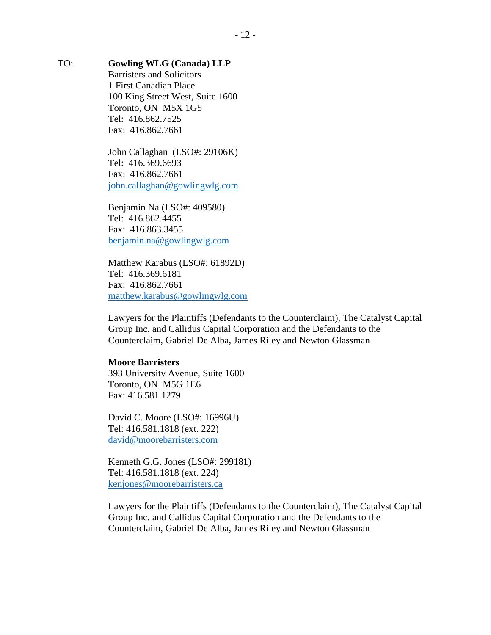# TO: **Gowling WLG (Canada) LLP**

Barristers and Solicitors 1 First Canadian Place 100 King Street West, Suite 1600 Toronto, ON M5X 1G5 Tel: 416.862.7525 Fax: 416.862.7661

John Callaghan (LSO#: 29106K) Tel: 416.369.6693 Fax: 416.862.7661 [john.callaghan@gowlingwlg.com](mailto:john.callaghan@gowlingwlg.com)

Benjamin Na (LSO#: 409580) Tel: 416.862.4455 Fax: 416.863.3455 [benjamin.na@gowlingwlg.com](mailto:benjamin.na@gowlingwlg.com)

Matthew Karabus (LSO#: 61892D) Tel: 416.369.6181 Fax: 416.862.7661 [matthew.karabus@gowlingwlg.com](mailto:matthew.karabus@gowlingwlg.com)

Lawyers for the Plaintiffs (Defendants to the Counterclaim), The Catalyst Capital Group Inc. and Callidus Capital Corporation and the Defendants to the Counterclaim, Gabriel De Alba, James Riley and Newton Glassman

### **Moore Barristers**

393 University Avenue, Suite 1600 Toronto, ON M5G 1E6 Fax: 416.581.1279

David C. Moore (LSO#: 16996U) Tel: 416.581.1818 (ext. 222) [david@moorebarristers.com](mailto:david@moorebarristers.com)

Kenneth G.G. Jones (LSO#: 299181) Tel: 416.581.1818 (ext. 224) [kenjones@moorebarristers.ca](mailto:kenjones@moorebarristers.ca)

Lawyers for the Plaintiffs (Defendants to the Counterclaim), The Catalyst Capital Group Inc. and Callidus Capital Corporation and the Defendants to the Counterclaim, Gabriel De Alba, James Riley and Newton Glassman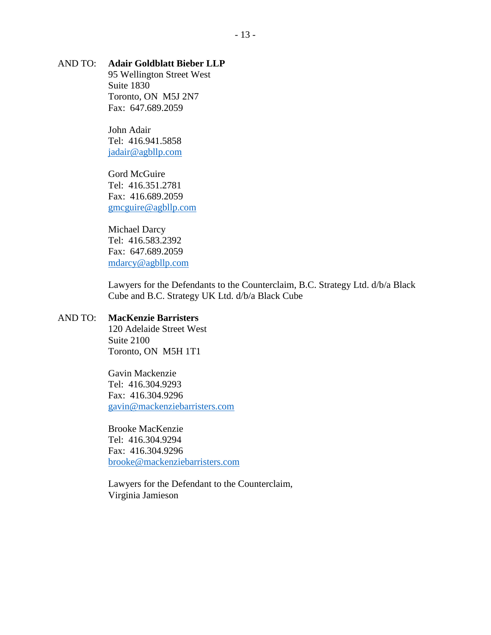# AND TO: **Adair Goldblatt Bieber LLP**

95 Wellington Street West Suite 1830 Toronto, ON M5J 2N7 Fax: 647.689.2059

John Adair Tel: 416.941.5858 [jadair@agbllp.com](mailto:jadair@agbllp.com)

Gord McGuire Tel: 416.351.2781 Fax: 416.689.2059 [gmcguire@agbllp.com](mailto:gmcguire@agbllp.com)

Michael Darcy Tel: 416.583.2392 Fax: 647.689.2059 [mdarcy@agbllp.com](mailto:mdarcy@agbllp.com)

Lawyers for the Defendants to the Counterclaim, B.C. Strategy Ltd. d/b/a Black Cube and B.C. Strategy UK Ltd. d/b/a Black Cube

# AND TO: **MacKenzie Barristers**

120 Adelaide Street West Suite 2100 Toronto, ON M5H 1T1

Gavin Mackenzie Tel: 416.304.9293 Fax: 416.304.9296 [gavin@mackenziebarristers.com](mailto:gavin@mackenziebarristers.com)

Brooke MacKenzie Tel: 416.304.9294 Fax: 416.304.9296 [brooke@mackenziebarristers.com](mailto:brooke@mackenziebarristers.com)

Lawyers for the Defendant to the Counterclaim, Virginia Jamieson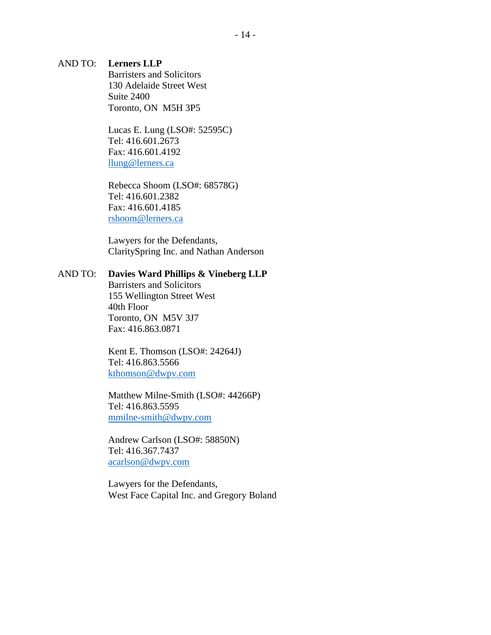# AND TO: **Lerners LLP**

Barristers and Solicitors 130 Adelaide Street West Suite 2400 Toronto, ON M5H 3P5

Lucas E. Lung (LSO#: 52595C) Tel: 416.601.2673 Fax: 416.601.4192 [llung@lerners.ca](mailto:llung@lerners.ca)

Rebecca Shoom (LSO#: 68578G) Tel: 416.601.2382 Fax: 416.601.4185 [rshoom@lerners.ca](mailto:rshoom@lerners.ca)

Lawyers for the Defendants, ClaritySpring Inc. and Nathan Anderson

# AND TO: **Davies Ward Phillips & Vineberg LLP**

Barristers and Solicitors 155 Wellington Street West 40th Floor Toronto, ON M5V 3J7 Fax: 416.863.0871

Kent E. Thomson (LSO#: 24264J) Tel: 416.863.5566 [kthomson@dwpv.com](mailto:kthomson@dwpv.com)

Matthew Milne-Smith (LSO#: 44266P) Tel: 416.863.5595 [mmilne-smith@dwpv.com](mailto:mmilne-smith@dwpv.com)

Andrew Carlson (LSO#: 58850N) Tel: 416.367.7437 [acarlson@dwpv.com](mailto:acarlson@dwpv.com)

Lawyers for the Defendants, West Face Capital Inc. and Gregory Boland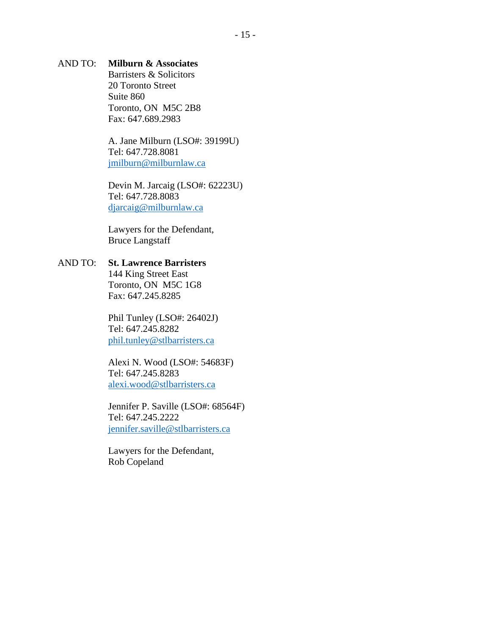# AND TO: **Milburn & Associates**

Barristers & Solicitors 20 Toronto Street Suite 860 Toronto, ON M5C 2B8 Fax: 647.689.2983

A. Jane Milburn (LSO#: 39199U) Tel: 647.728.8081 [jmilburn@milburnlaw.ca](mailto:jmilburn@milburnlaw.ca)

Devin M. Jarcaig (LSO#: 62223U) Tel: 647.728.8083 [djarcaig@milburnlaw.ca](mailto:djarcaig@milburnlaw.ca)

Lawyers for the Defendant, Bruce Langstaff

AND TO: **St. Lawrence Barristers** 144 King Street East Toronto, ON M5C 1G8 Fax: 647.245.8285

> Phil Tunley (LSO#: 26402J) Tel: 647.245.8282 [phil.tunley@stlbarristers.ca](mailto:phil.tunley@stlbarristers.ca)

Alexi N. Wood (LSO#: 54683F) Tel: 647.245.8283 [alexi.wood@stlbarristers.ca](mailto:alexi.wood@stlbarristers.ca)

Jennifer P. Saville (LSO#: 68564F) Tel: 647.245.2222 [jennifer.saville@stlbarristers.ca](mailto:jennifer.saville@stlbarristers.ca)

Lawyers for the Defendant, Rob Copeland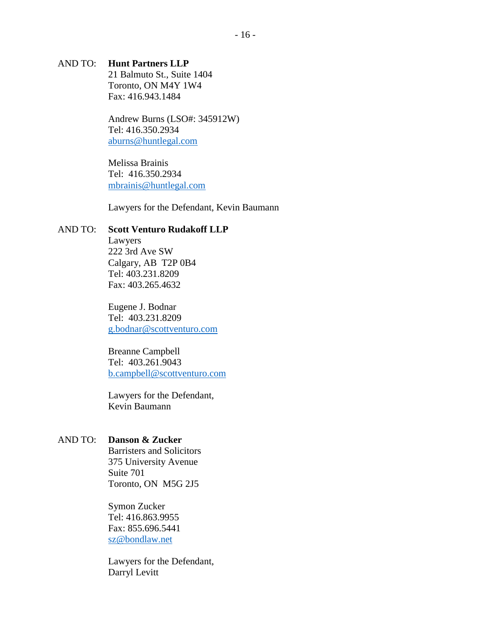# AND TO: **Hunt Partners LLP**

21 Balmuto St., Suite 1404 Toronto, ON M4Y 1W4 Fax: 416.943.1484

Andrew Burns (LSO#: 345912W) Tel: 416.350.2934 [aburns@huntlegal.com](mailto:aburns@huntlegal.com)

Melissa Brainis Tel: 416.350.2934 [mbrainis@huntlegal.com](mailto:mbrainis@huntlegal.com)

Lawyers for the Defendant, Kevin Baumann

# AND TO: **Scott Venturo Rudakoff LLP**

Lawyers 222 3rd Ave SW Calgary, AB T2P 0B4 Tel: 403.231.8209 Fax: 403.265.4632

Eugene J. Bodnar Tel: 403.231.8209 [g.bodnar@scottventuro.com](mailto:g.bodnar@scottventuro.com)

Breanne Campbell Tel: 403.261.9043 [b.campbell@scottventuro.com](mailto:b.campbell@scottventuro.com) 

Lawyers for the Defendant, Kevin Baumann

### AND TO: **Danson & Zucker**

Barristers and Solicitors 375 University Avenue Suite 701 Toronto, ON M5G 2J5

Symon Zucker Tel: 416.863.9955 Fax: 855.696.5441 [sz@bondlaw.net](mailto:sz@bondlaw.net)

Lawyers for the Defendant, Darryl Levitt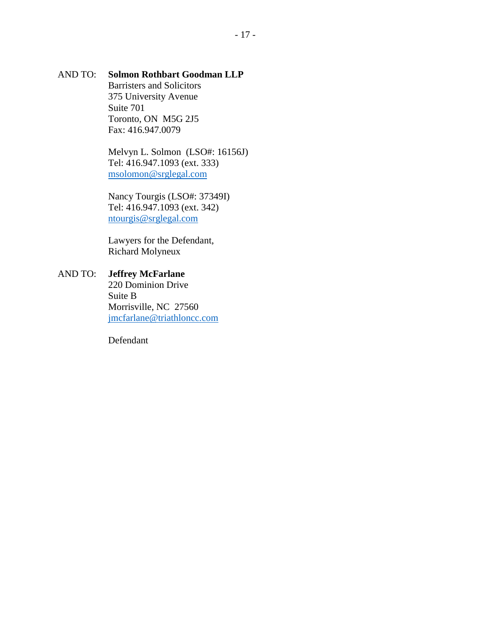# AND TO: **Solmon Rothbart Goodman LLP**

Barristers and Solicitors 375 University Avenue Suite 701 Toronto, ON M5G 2J5 Fax: 416.947.0079

Melvyn L. Solmon (LSO#: 16156J) Tel: 416.947.1093 (ext. 333) [msolomon@srglegal.com](mailto:msolomon@srglegal.com)

Nancy Tourgis (LSO#: 37349I) Tel: 416.947.1093 (ext. 342) [ntourgis@srglegal.com](mailto:ntourgis@srglegal.com)

Lawyers for the Defendant, Richard Molyneux

# AND TO: **Jeffrey McFarlane** 220 Dominion Drive Suite B Morrisville, NC 27560 [jmcfarlane@triathloncc.com](mailto:jmcfarlane@triathloncc.com)

Defendant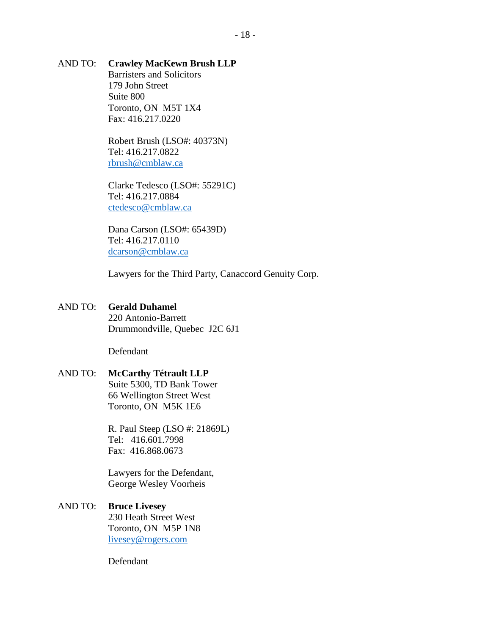# AND TO: **Crawley MacKewn Brush LLP**

Barristers and Solicitors 179 John Street Suite 800 Toronto, ON M5T 1X4 Fax: 416.217.0220

Robert Brush (LSO#: 40373N) Tel: 416.217.0822 [rbrush@cmblaw.ca](mailto:rbrush@cmblaw.ca)

Clarke Tedesco (LSO#: 55291C) Tel: 416.217.0884 [ctedesco@cmblaw.ca](mailto:ctedesco@cmblaw.ca)

Dana Carson (LSO#: 65439D) Tel: 416.217.0110 [dcarson@cmblaw.ca](mailto:dcarson@cmblaw.ca)

Lawyers for the Third Party, Canaccord Genuity Corp.

### AND TO: **Gerald Duhamel**

220 Antonio-Barrett Drummondville, Quebec J2C 6J1

Defendant

### AND TO: **McCarthy Tétrault LLP**

Suite 5300, TD Bank Tower 66 Wellington Street West Toronto, ON M5K 1E6

R. Paul Steep (LSO #: 21869L) Tel: 416.601.7998 Fax: 416.868.0673

Lawyers for the Defendant, George Wesley Voorheis

# AND TO: **Bruce Livesey**

230 Heath Street West Toronto, ON M5P 1N8 [livesey@rogers.com](mailto:livesey@rogers.com)

Defendant